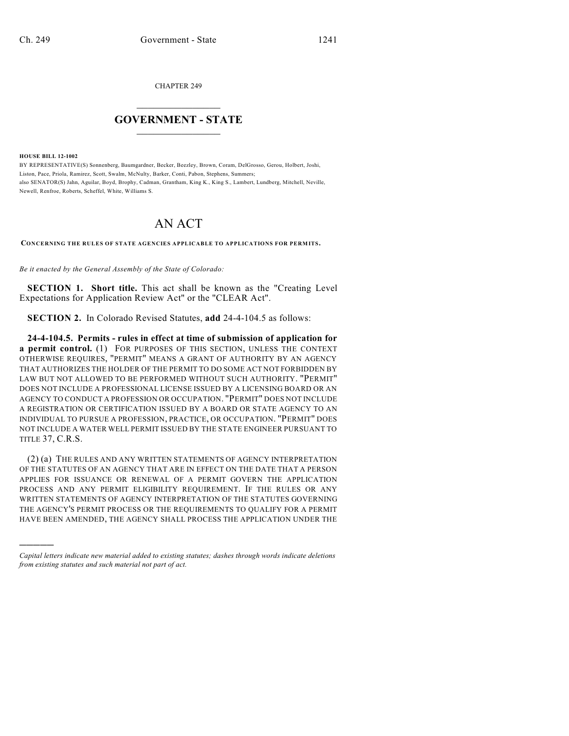CHAPTER 249

## $\mathcal{L}_\text{max}$  . The set of the set of the set of the set of the set of the set of the set of the set of the set of the set of the set of the set of the set of the set of the set of the set of the set of the set of the set **GOVERNMENT - STATE**  $\_$   $\_$

**HOUSE BILL 12-1002**

)))))

BY REPRESENTATIVE(S) Sonnenberg, Baumgardner, Becker, Beezley, Brown, Coram, DelGrosso, Gerou, Holbert, Joshi, Liston, Pace, Priola, Ramirez, Scott, Swalm, McNulty, Barker, Conti, Pabon, Stephens, Summers; also SENATOR(S) Jahn, Aguilar, Boyd, Brophy, Cadman, Grantham, King K., King S., Lambert, Lundberg, Mitchell, Neville, Newell, Renfroe, Roberts, Scheffel, White, Williams S.

## AN ACT

**CONCERNING THE RULES OF STATE AGENCIES APPLICABLE TO APPLICATIONS FOR PERMITS.**

*Be it enacted by the General Assembly of the State of Colorado:*

**SECTION 1. Short title.** This act shall be known as the "Creating Level Expectations for Application Review Act" or the "CLEAR Act".

**SECTION 2.** In Colorado Revised Statutes, **add** 24-4-104.5 as follows:

**24-4-104.5. Permits - rules in effect at time of submission of application for a permit control.** (1) FOR PURPOSES OF THIS SECTION, UNLESS THE CONTEXT OTHERWISE REQUIRES, "PERMIT" MEANS A GRANT OF AUTHORITY BY AN AGENCY THAT AUTHORIZES THE HOLDER OF THE PERMIT TO DO SOME ACT NOT FORBIDDEN BY LAW BUT NOT ALLOWED TO BE PERFORMED WITHOUT SUCH AUTHORITY. "PERMIT" DOES NOT INCLUDE A PROFESSIONAL LICENSE ISSUED BY A LICENSING BOARD OR AN AGENCY TO CONDUCT A PROFESSION OR OCCUPATION. "PERMIT" DOES NOT INCLUDE A REGISTRATION OR CERTIFICATION ISSUED BY A BOARD OR STATE AGENCY TO AN INDIVIDUAL TO PURSUE A PROFESSION, PRACTICE, OR OCCUPATION. "PERMIT" DOES NOT INCLUDE A WATER WELL PERMIT ISSUED BY THE STATE ENGINEER PURSUANT TO TITLE 37, C.R.S.

(2) (a) THE RULES AND ANY WRITTEN STATEMENTS OF AGENCY INTERPRETATION OF THE STATUTES OF AN AGENCY THAT ARE IN EFFECT ON THE DATE THAT A PERSON APPLIES FOR ISSUANCE OR RENEWAL OF A PERMIT GOVERN THE APPLICATION PROCESS AND ANY PERMIT ELIGIBILITY REQUIREMENT. IF THE RULES OR ANY WRITTEN STATEMENTS OF AGENCY INTERPRETATION OF THE STATUTES GOVERNING THE AGENCY'S PERMIT PROCESS OR THE REQUIREMENTS TO QUALIFY FOR A PERMIT HAVE BEEN AMENDED, THE AGENCY SHALL PROCESS THE APPLICATION UNDER THE

*Capital letters indicate new material added to existing statutes; dashes through words indicate deletions from existing statutes and such material not part of act.*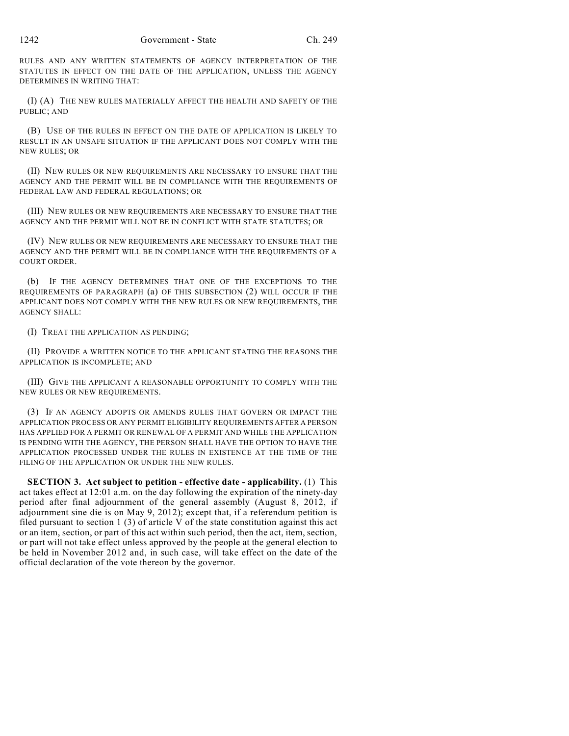RULES AND ANY WRITTEN STATEMENTS OF AGENCY INTERPRETATION OF THE STATUTES IN EFFECT ON THE DATE OF THE APPLICATION, UNLESS THE AGENCY DETERMINES IN WRITING THAT:

(I) (A) THE NEW RULES MATERIALLY AFFECT THE HEALTH AND SAFETY OF THE PUBLIC; AND

(B) USE OF THE RULES IN EFFECT ON THE DATE OF APPLICATION IS LIKELY TO RESULT IN AN UNSAFE SITUATION IF THE APPLICANT DOES NOT COMPLY WITH THE NEW RULES; OR

(II) NEW RULES OR NEW REQUIREMENTS ARE NECESSARY TO ENSURE THAT THE AGENCY AND THE PERMIT WILL BE IN COMPLIANCE WITH THE REQUIREMENTS OF FEDERAL LAW AND FEDERAL REGULATIONS; OR

(III) NEW RULES OR NEW REQUIREMENTS ARE NECESSARY TO ENSURE THAT THE AGENCY AND THE PERMIT WILL NOT BE IN CONFLICT WITH STATE STATUTES; OR

(IV) NEW RULES OR NEW REQUIREMENTS ARE NECESSARY TO ENSURE THAT THE AGENCY AND THE PERMIT WILL BE IN COMPLIANCE WITH THE REQUIREMENTS OF A COURT ORDER.

(b) IF THE AGENCY DETERMINES THAT ONE OF THE EXCEPTIONS TO THE REQUIREMENTS OF PARAGRAPH (a) OF THIS SUBSECTION (2) WILL OCCUR IF THE APPLICANT DOES NOT COMPLY WITH THE NEW RULES OR NEW REQUIREMENTS, THE AGENCY SHALL:

(I) TREAT THE APPLICATION AS PENDING;

(II) PROVIDE A WRITTEN NOTICE TO THE APPLICANT STATING THE REASONS THE APPLICATION IS INCOMPLETE; AND

(III) GIVE THE APPLICANT A REASONABLE OPPORTUNITY TO COMPLY WITH THE NEW RULES OR NEW REQUIREMENTS.

(3) IF AN AGENCY ADOPTS OR AMENDS RULES THAT GOVERN OR IMPACT THE APPLICATION PROCESS OR ANY PERMIT ELIGIBILITY REQUIREMENTS AFTER A PERSON HAS APPLIED FOR A PERMIT OR RENEWAL OF A PERMIT AND WHILE THE APPLICATION IS PENDING WITH THE AGENCY, THE PERSON SHALL HAVE THE OPTION TO HAVE THE APPLICATION PROCESSED UNDER THE RULES IN EXISTENCE AT THE TIME OF THE FILING OF THE APPLICATION OR UNDER THE NEW RULES.

**SECTION 3. Act subject to petition - effective date - applicability.** (1) This act takes effect at 12:01 a.m. on the day following the expiration of the ninety-day period after final adjournment of the general assembly (August 8, 2012, if adjournment sine die is on May 9, 2012); except that, if a referendum petition is filed pursuant to section  $1(3)$  of article V of the state constitution against this act or an item, section, or part of this act within such period, then the act, item, section, or part will not take effect unless approved by the people at the general election to be held in November 2012 and, in such case, will take effect on the date of the official declaration of the vote thereon by the governor.